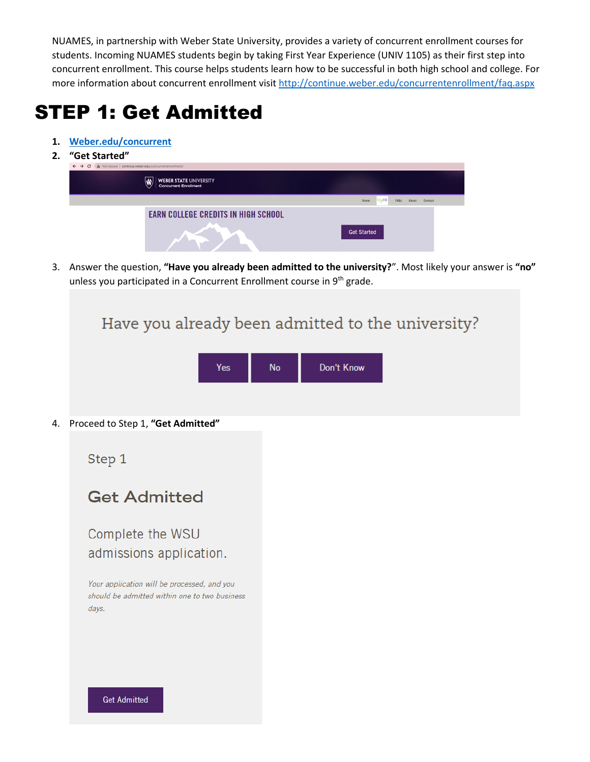NUAMES, in partnership with Weber State University, provides a variety of concurrent enrollment courses for students. Incoming NUAMES students begin by taking First Year Experience (UNIV 1105) as their first step into concurrent enrollment. This course helps students learn how to be successful in both high school and college. For more information about concurrent enrollment visit<http://continue.weber.edu/concurrentenrollment/faq.aspx>

# STEP 1: Get Admitted

- **1. [Weber.edu/concurrent](http://www.weber.edu/concurrent)**
- **2. "Get Started"**

| UCL JLAI LCU                                                                   |                                            |         |  |  |  |  |  |
|--------------------------------------------------------------------------------|--------------------------------------------|---------|--|--|--|--|--|
| A Not secure   continue.weber.edu/concurrentenrollment/<br>$\leftrightarrow$ e |                                            |         |  |  |  |  |  |
| WEBER STATE UNIVERSITY<br>Concurrent Enrollment<br>$\boldsymbol{\mathsf{w}}$   |                                            |         |  |  |  |  |  |
|                                                                                | $\eta_{\rm d}$ CE<br>Home<br>FAQs<br>About | Contact |  |  |  |  |  |
| <b>EARN COLLEGE CREDITS IN HIGH SCHOOL</b>                                     | <b>Get Started</b>                         |         |  |  |  |  |  |

3. Answer the question, **"Have you already been admitted to the university?**". Most likely your answer is **"no"** unless you participated in a Concurrent Enrollment course in 9<sup>th</sup> grade.

|    | Have you already been admitted to the university?                                                                                                    |  |  |  |  |  |  |
|----|------------------------------------------------------------------------------------------------------------------------------------------------------|--|--|--|--|--|--|
|    | Don't Know<br>Yes<br><b>No</b>                                                                                                                       |  |  |  |  |  |  |
| 4. | Proceed to Step 1, "Get Admitted"                                                                                                                    |  |  |  |  |  |  |
|    | Step 1                                                                                                                                               |  |  |  |  |  |  |
|    | <b>Get Admitted</b>                                                                                                                                  |  |  |  |  |  |  |
|    | Complete the WSU<br>admissions application.<br>Your application will be processed, and you<br>should be admitted within one to two business<br>days. |  |  |  |  |  |  |
|    | <b>Get Admitted</b>                                                                                                                                  |  |  |  |  |  |  |